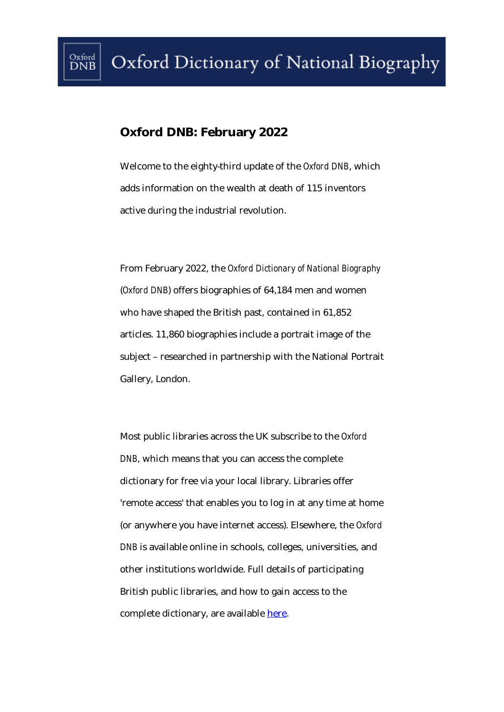## **Oxford DNB: February 2022**

 $_{\rm{DNB}}^{\rm{Oxford}}$ 

Welcome to the eighty-third update of the *Oxford DNB*, which adds information on the wealth at death of 115 inventors active during the industrial revolution.

From February 2022, the *Oxford Dictionary of National Biography*  (*Oxford DNB*) offers biographies of 64,184 men and women who have shaped the British past, contained in 61,852 articles. 11,860 biographies include a portrait image of the subject – researched in partnership with the National Portrait Gallery, London.

Most public libraries across the UK subscribe to the *Oxford DNB*, which means that you can access the complete dictionary for free via your local library. Libraries offer 'remote access' that enables you to log in at any time at home (or anywhere you have internet access). Elsewhere, the *Oxford DNB* is available online in schools, colleges, universities, and other institutions worldwide. Full details of participating British public libraries, and how to gain access to the complete dictionary, are available [here.](https://www.oxforddnb.com/page/subscribe)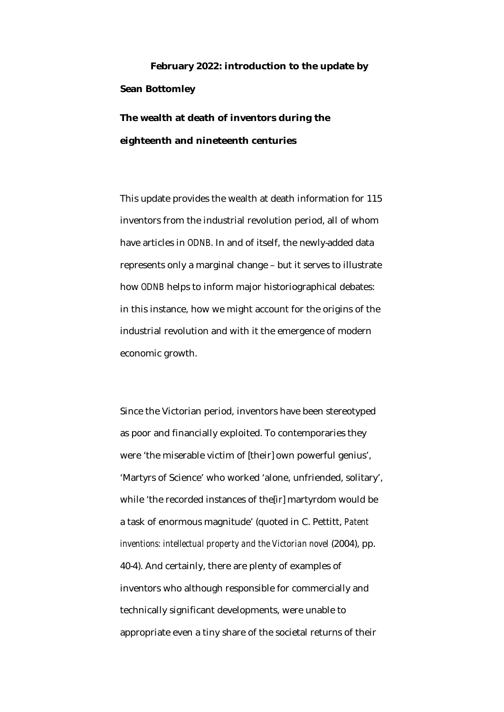## **February 2022: introduction to the update by Sean Bottomley**

**The wealth at death of inventors during the eighteenth and nineteenth centuries**

This update provides the wealth at death information for 115 inventors from the industrial revolution period, all of whom have articles in *ODNB*. In and of itself, the newly-added data represents only a marginal change – but it serves to illustrate how *ODNB* helps to inform major historiographical debates: in this instance, how we might account for the origins of the industrial revolution and with it the emergence of modern economic growth.

Since the Victorian period, inventors have been stereotyped as poor and financially exploited. To contemporaries they were 'the miserable victim of [their] own powerful genius', 'Martyrs of Science' who worked 'alone, unfriended, solitary', while 'the recorded instances of the[ir] martyrdom would be a task of enormous magnitude' (quoted in C. Pettitt, *Patent inventions: intellectual property and the Victorian novel* (2004), pp. 40-4). And certainly, there are plenty of examples of inventors who although responsible for commercially and technically significant developments, were unable to appropriate even a tiny share of the societal returns of their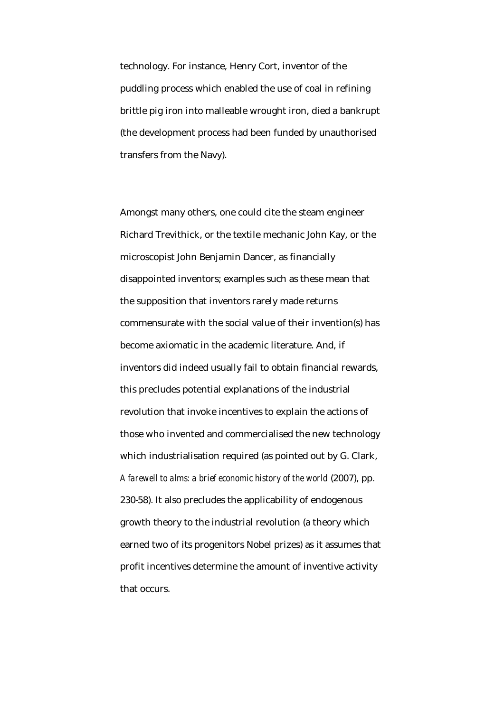technology. For instance, Henry Cort, inventor of the puddling process which enabled the use of coal in refining brittle pig iron into malleable wrought iron, died a bankrupt (the development process had been funded by unauthorised transfers from the Navy).

Amongst many others, one could cite the steam engineer Richard Trevithick, or the textile mechanic John Kay, or the microscopist John Benjamin Dancer, as financially disappointed inventors; examples such as these mean that the supposition that inventors rarely made returns commensurate with the social value of their invention(s) has become axiomatic in the academic literature. And, if inventors did indeed usually fail to obtain financial rewards, this precludes potential explanations of the industrial revolution that invoke incentives to explain the actions of those who invented and commercialised the new technology which industrialisation required (as pointed out by G. Clark, *A farewell to alms: a brief economic history of the world* (2007), pp. 230-58). It also precludes the applicability of endogenous growth theory to the industrial revolution (a theory which earned two of its progenitors Nobel prizes) as it assumes that profit incentives determine the amount of inventive activity that occurs.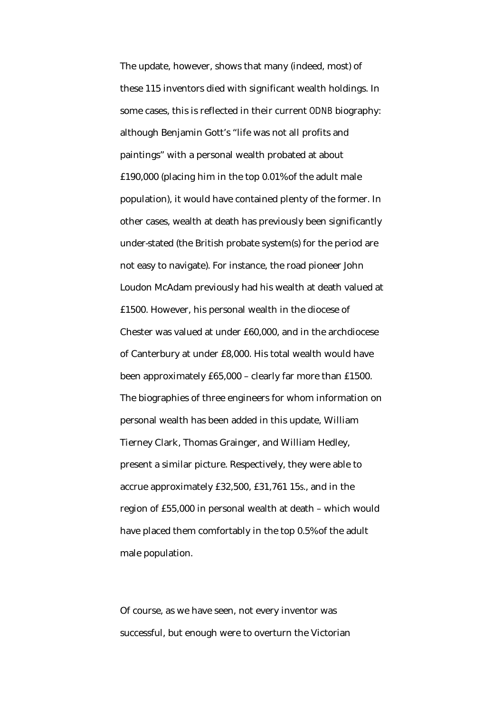The update, however, shows that many (indeed, most) of these 115 inventors died with significant wealth holdings. In some cases, this is reflected in their current *ODNB* biography: although Benjamin Gott's "life was not all profits and paintings" with a personal wealth probated at about £190,000 (placing him in the top 0.01% of the adult male population), it would have contained plenty of the former. In other cases, wealth at death has previously been significantly under-stated (the British probate system(s) for the period are not easy to navigate). For instance, the road pioneer John Loudon McAdam previously had his wealth at death valued at £1500. However, his personal wealth in the diocese of Chester was valued at under £60,000, and in the archdiocese of Canterbury at under £8,000. His total wealth would have been approximately £65,000 – clearly far more than £1500. The biographies of three engineers for whom information on personal wealth has been added in this update, William Tierney Clark, Thomas Grainger, and William Hedley, present a similar picture. Respectively, they were able to accrue approximately £32,500, £31,761 15*s*., and in the region of £55,000 in personal wealth at death – which would have placed them comfortably in the top 0.5% of the adult male population.

Of course, as we have seen, not every inventor was successful, but enough were to overturn the Victorian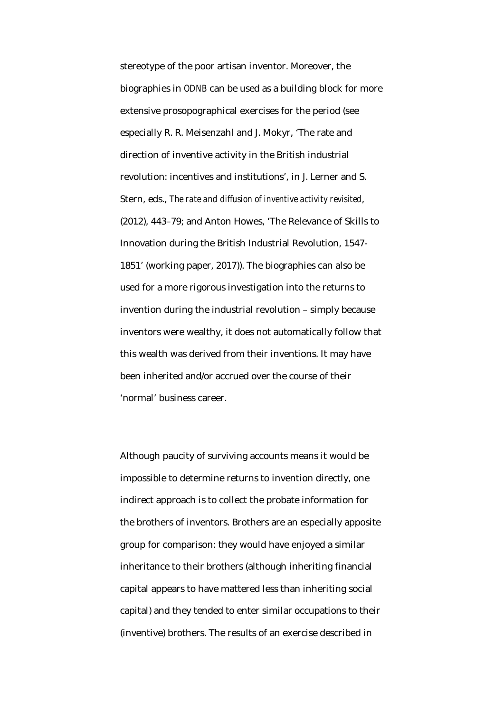stereotype of the poor artisan inventor. Moreover, the biographies in *ODNB* can be used as a building block for more extensive prosopographical exercises for the period (see especially R. R. Meisenzahl and J. Mokyr, 'The rate and direction of inventive activity in the British industrial revolution: incentives and institutions', in J. Lerner and S. Stern, eds., *The rate and diffusion of inventive activity revisited*, (2012), 443–79; and Anton Howes, 'The Relevance of Skills to Innovation during the British Industrial Revolution, 1547- 1851' (working paper, 2017)). The biographies can also be used for a more rigorous investigation into the returns to invention during the industrial revolution – simply because inventors were wealthy, it does not automatically follow that this wealth was derived from their inventions. It may have been inherited and/or accrued over the course of their 'normal' business career.

Although paucity of surviving accounts means it would be impossible to determine returns to invention directly, one indirect approach is to collect the probate information for the brothers of inventors. Brothers are an especially apposite group for comparison: they would have enjoyed a similar inheritance to their brothers (although inheriting financial capital appears to have mattered less than inheriting social capital) and they tended to enter similar occupations to their (inventive) brothers. The results of an exercise described in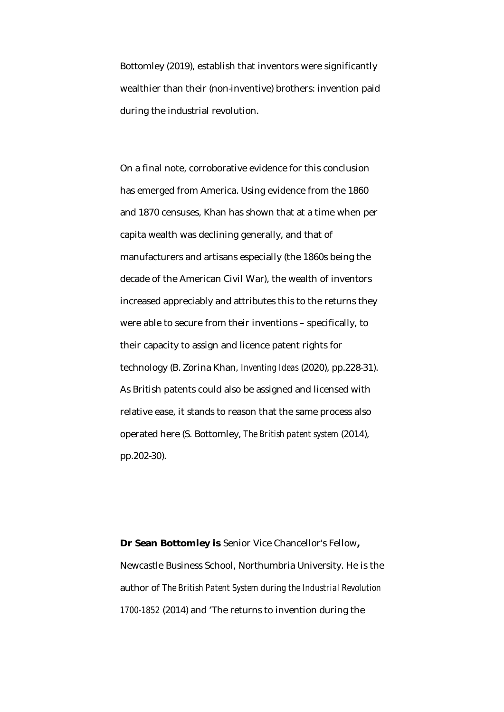Bottomley (2019), establish that inventors were significantly wealthier than their (non-inventive) brothers: invention paid during the industrial revolution.

On a final note, corroborative evidence for this conclusion has emerged from America. Using evidence from the 1860 and 1870 censuses, Khan has shown that at a time when per capita wealth was declining generally, and that of manufacturers and artisans especially (the 1860s being the decade of the American Civil War), the wealth of inventors increased appreciably and attributes this to the returns they were able to secure from their inventions – specifically, to their capacity to assign and licence patent rights for technology (B. Zorina Khan, *Inventing Ideas* (2020), pp.228-31). As British patents could also be assigned and licensed with relative ease, it stands to reason that the same process also operated here (S. Bottomley, *The British patent system* (2014), pp.202-30).

**Dr Sean Bottomley is** Senior Vice Chancellor's Fellow**,**  Newcastle Business School, Northumbria University. He is the author of *The British Patent System during the Industrial Revolution 1700-1852* (2014) and 'The returns to invention during the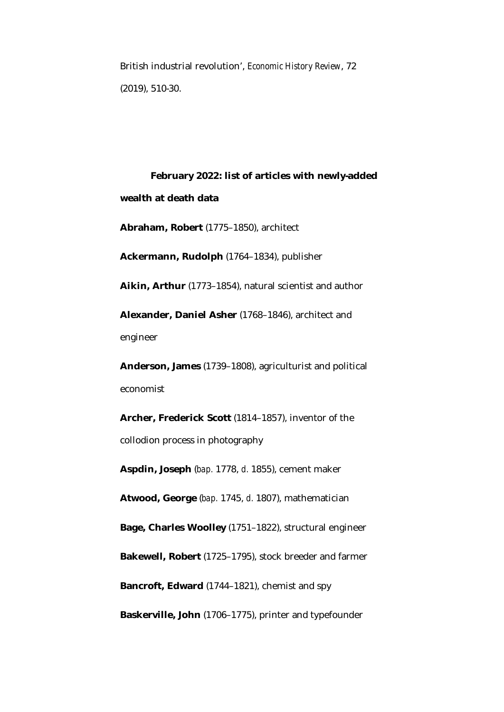British industrial revolution', *Economic History Review*, 72 (2019), 510-30.

**February 2022: list of articles with newly-added wealth at death data Abraham, Robert** (1775–1850), architect

**Ackermann, Rudolph** (1764–1834), publisher

**Aikin, Arthur** (1773–1854), natural scientist and author

**Alexander, Daniel Asher** (1768–1846), architect and engineer

**Anderson, James** (1739–1808), agriculturist and political economist

**Archer, Frederick Scott** (1814–1857), inventor of the collodion process in photography

**Aspdin, Joseph** (*bap.* 1778, *d.* 1855), cement maker

**Atwood, George** (*bap.* 1745, *d.* 1807), mathematician

**Bage, Charles Woolley** (1751–1822), structural engineer

**Bakewell, Robert** (1725–1795), stock breeder and farmer

**Bancroft, Edward** (1744–1821), chemist and spy

**Baskerville, John** (1706–1775), printer and typefounder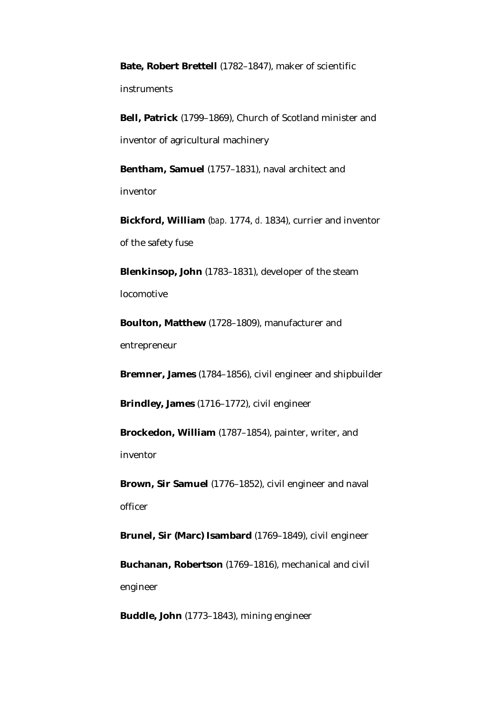**Bate, Robert Brettell** (1782–1847), maker of scientific instruments

**Bell, Patrick** (1799–1869), Church of Scotland minister and inventor of agricultural machinery

**Bentham, Samuel** (1757–1831), naval architect and inventor

**Bickford, William** (*bap.* 1774, *d.* 1834), currier and inventor of the safety fuse

**Blenkinsop, John** (1783–1831), developer of the steam locomotive

**Boulton, Matthew** (1728–1809), manufacturer and entrepreneur

**Bremner, James** (1784–1856), civil engineer and shipbuilder

**Brindley, James** (1716–1772), civil engineer

**Brockedon, William** (1787–1854), painter, writer, and inventor

**Brown, Sir Samuel** (1776–1852), civil engineer and naval officer

**Brunel, Sir (Marc) Isambard** (1769–1849), civil engineer

**Buchanan, Robertson** (1769–1816), mechanical and civil engineer

**Buddle, John** (1773–1843), mining engineer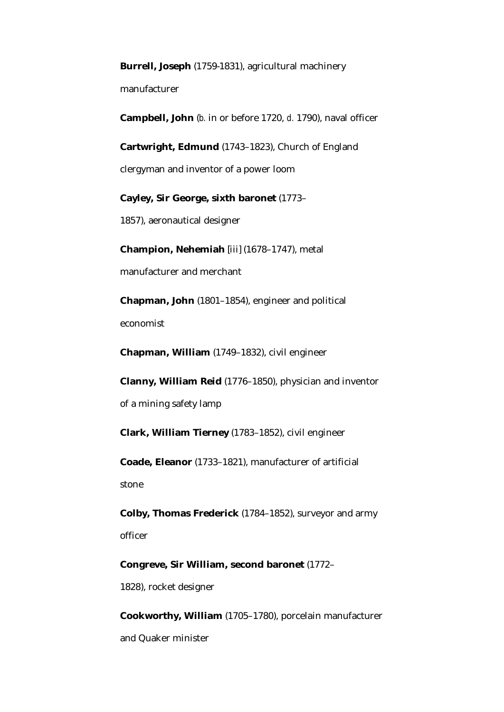**Burrell, Joseph** (1759-1831), agricultural machinery

manufacturer

**Campbell, John** (*b.* in or before 1720, *d.* 1790), naval officer

**Cartwright, Edmund** (1743–1823), Church of England

clergyman and inventor of a power loom

**Cayley, Sir George, sixth baronet** (1773–

1857), aeronautical designer

**Champion, Nehemiah** [iii] (1678–1747), metal manufacturer and merchant

**Chapman, John** (1801–1854), engineer and political economist

**Chapman, William** (1749–1832), civil engineer

**Clanny, William Reid** (1776–1850), physician and inventor of a mining safety lamp

**Clark, William Tierney** (1783–1852), civil engineer

**Coade, Eleanor** (1733–1821), manufacturer of artificial stone

**Colby, Thomas Frederick** (1784–1852), surveyor and army officer

**Congreve, Sir William, second baronet** (1772– 1828), rocket designer

**Cookworthy, William** (1705–1780), porcelain manufacturer and Quaker minister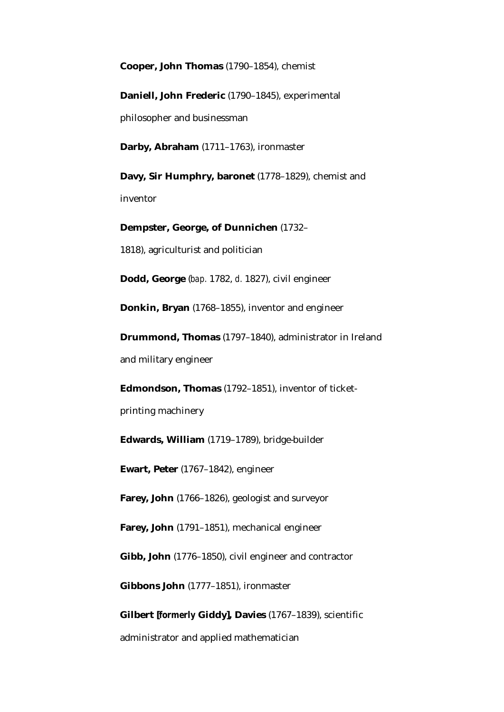**Cooper, John Thomas** (1790–1854), chemist

**Daniell, John Frederic** (1790–1845), experimental philosopher and businessman

**Darby, Abraham** (1711–1763), ironmaster

**Davy, Sir Humphry, baronet** (1778–1829), chemist and inventor

**Dempster, George, of Dunnichen** (1732– 1818), agriculturist and politician

**Dodd, George** (*bap.* 1782, *d.* 1827), civil engineer

**Donkin, Bryan** (1768–1855), inventor and engineer

**Drummond, Thomas** (1797–1840), administrator in Ireland and military engineer

**Edmondson, Thomas** (1792–1851), inventor of ticketprinting machinery

**Edwards, William** (1719–1789), bridge-builder

**Ewart, Peter** (1767–1842), engineer

**Farey, John** (1766–1826), geologist and surveyor

**Farey, John** (1791–1851), mechanical engineer

**Gibb, John** (1776–1850), civil engineer and contractor

**Gibbons John** (1777–1851), ironmaster

**Gilbert [***formerly* **Giddy], Davies** (1767–1839), scientific administrator and applied mathematician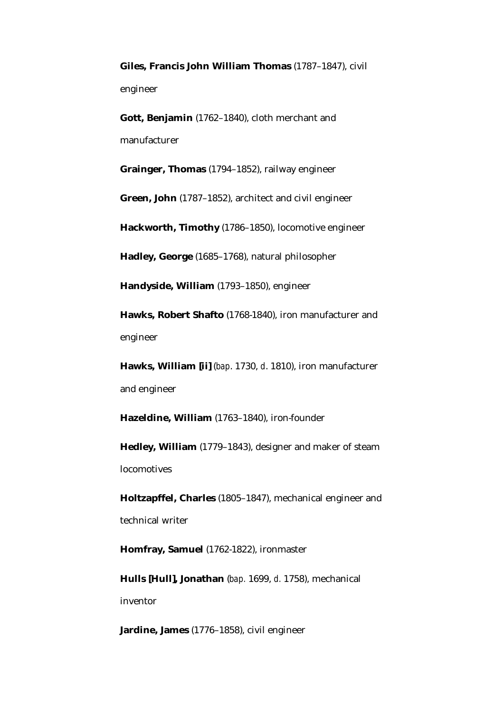**Giles, Francis John William Thomas** (1787–1847), civil engineer

**Gott, Benjamin** (1762–1840), cloth merchant and manufacturer

**Grainger, Thomas** (1794–1852), railway engineer

**Green, John** (1787–1852), architect and civil engineer

**Hackworth, Timothy** (1786–1850), locomotive engineer

**Hadley, George** (1685–1768), natural philosopher

**Handyside, William** (1793–1850), engineer

**Hawks, Robert Shafto** (1768-1840), iron manufacturer and engineer

**Hawks, William [ii]** (*bap*. 1730, *d*. 1810), iron manufacturer and engineer

**Hazeldine, William** (1763–1840), iron-founder

**Hedley, William** (1779–1843), designer and maker of steam locomotives

**Holtzapffel, Charles** (1805–1847), mechanical engineer and technical writer

**Homfray, Samuel** (1762-1822), ironmaster

**Hulls [Hull], Jonathan** (*bap.* 1699, *d.* 1758), mechanical inventor

**Jardine, James** (1776–1858), civil engineer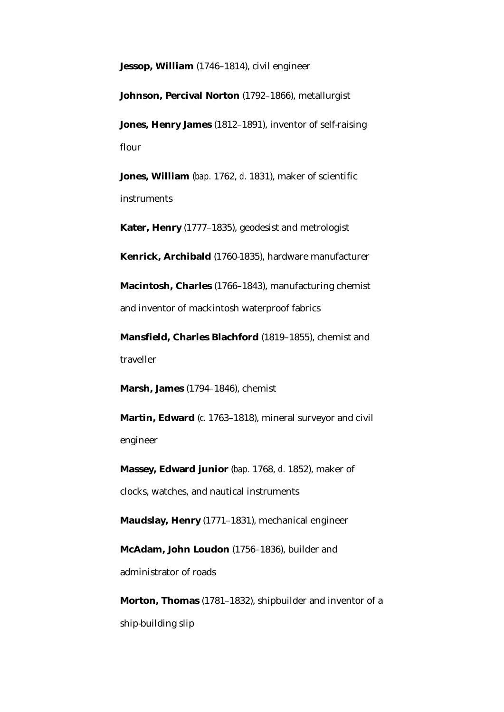**Jessop, William** (1746–1814), civil engineer

**Johnson, Percival Norton** (1792–1866), metallurgist

**Jones, Henry James** (1812–1891), inventor of self-raising flour

**Jones, William** (*bap.* 1762, *d.* 1831), maker of scientific instruments

**Kater, Henry** (1777–1835), geodesist and metrologist

**Kenrick, Archibald** (1760-1835), hardware manufacturer

**Macintosh, Charles** (1766–1843), manufacturing chemist and inventor of mackintosh waterproof fabrics

**Mansfield, Charles Blachford** (1819–1855), chemist and traveller

**Marsh, James** (1794–1846), chemist

**Martin, Edward** (*c.* 1763–1818), mineral surveyor and civil engineer

**Massey, Edward junior** (*bap.* 1768, *d.* 1852), maker of clocks, watches, and nautical instruments

**Maudslay, Henry** (1771–1831), mechanical engineer

**McAdam, John Loudon** (1756–1836), builder and administrator of roads

**Morton, Thomas** (1781–1832), shipbuilder and inventor of a ship-building slip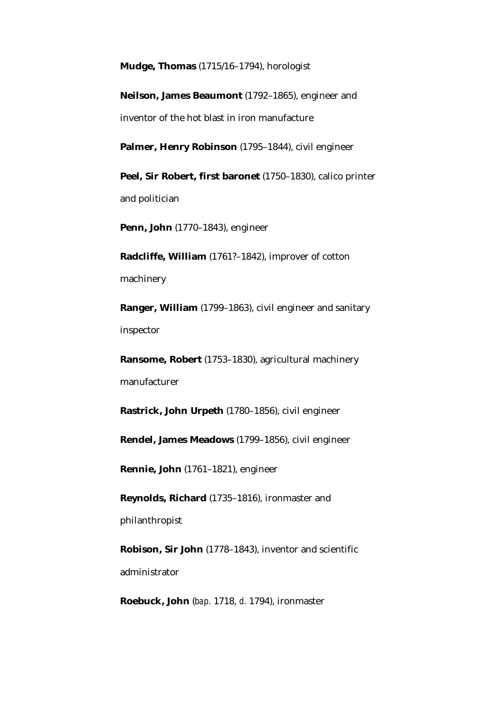**Mudge, Thomas** (1715/16–1794), horologist

**Neilson, James Beaumont** (1792–1865), engineer and inventor of the hot blast in iron manufacture

Palmer, Henry Robinson (1795–1844), civil engineer

**Peel, Sir Robert, first baronet** (1750–1830), calico printer and politician

**Penn, John** (1770–1843), engineer

**Radcliffe, William** (1761?–1842), improver of cotton machinery

**Ranger, William** (1799–1863), civil engineer and sanitary inspector

**Ransome, Robert** (1753–1830), agricultural machinery manufacturer

**Rastrick, John Urpeth** (1780–1856), civil engineer

**Rendel, James Meadows** (1799–1856), civil engineer

**Rennie, John** (1761–1821), engineer

**Reynolds, Richard** (1735–1816), ironmaster and philanthropist

**Robison, Sir John** (1778–1843), inventor and scientific administrator

**Roebuck, John** (*bap.* 1718, *d.* 1794), ironmaster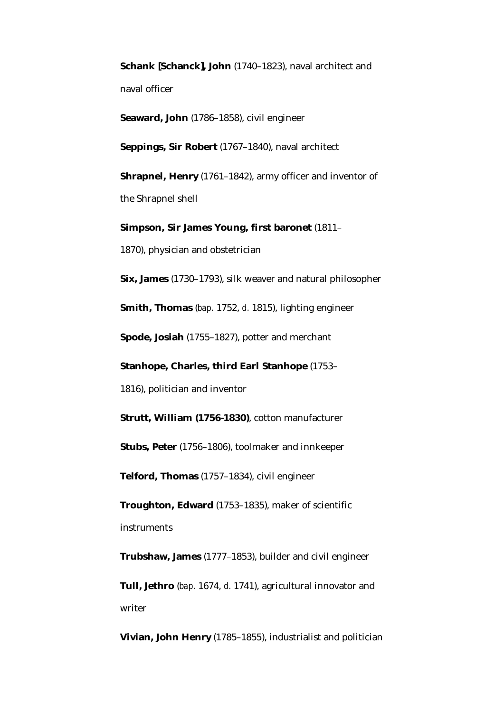**Schank [Schanck], John** (1740–1823), naval architect and naval officer

**Seaward, John** (1786–1858), civil engineer

**Seppings, Sir Robert** (1767–1840), naval architect

**Shrapnel, Henry** (1761–1842), army officer and inventor of the Shrapnel shell

**Simpson, Sir James Young, first baronet** (1811– 1870), physician and obstetrician

**Six, James** (1730–1793), silk weaver and natural philosopher

**Smith, Thomas** (*bap.* 1752, *d.* 1815), lighting engineer

**Spode, Josiah** (1755–1827), potter and merchant

**Stanhope, Charles, third Earl Stanhope** (1753–

1816), politician and inventor

**Strutt, William (1756-1830)**, cotton manufacturer

**Stubs, Peter** (1756–1806), toolmaker and innkeeper

**Telford, Thomas** (1757–1834), civil engineer

**Troughton, Edward** (1753–1835), maker of scientific instruments

**Trubshaw, James** (1777–1853), builder and civil engineer

**Tull, Jethro** (*bap.* 1674, *d.* 1741), agricultural innovator and writer

**Vivian, John Henry** (1785–1855), industrialist and politician